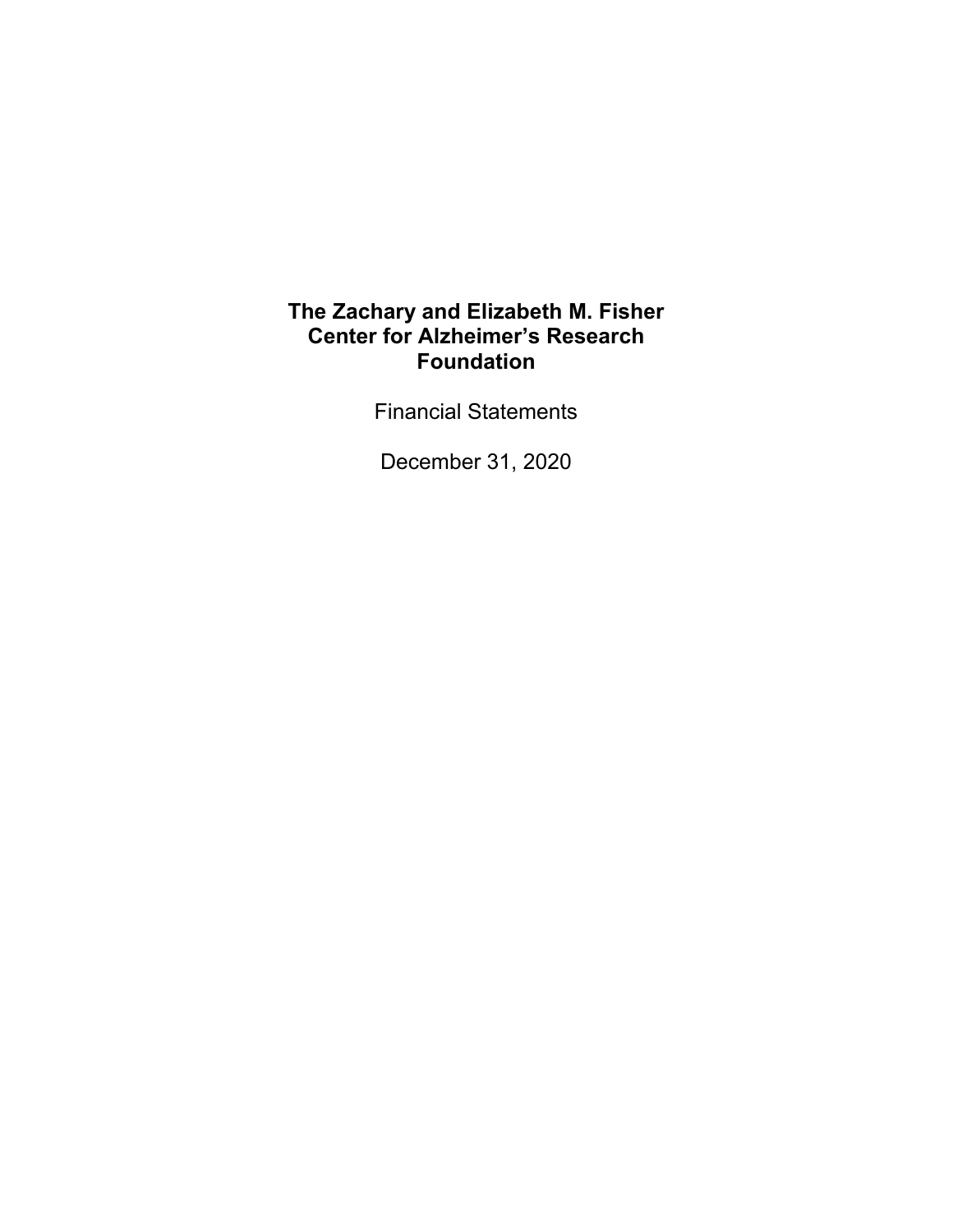Financial Statements

December 31, 2020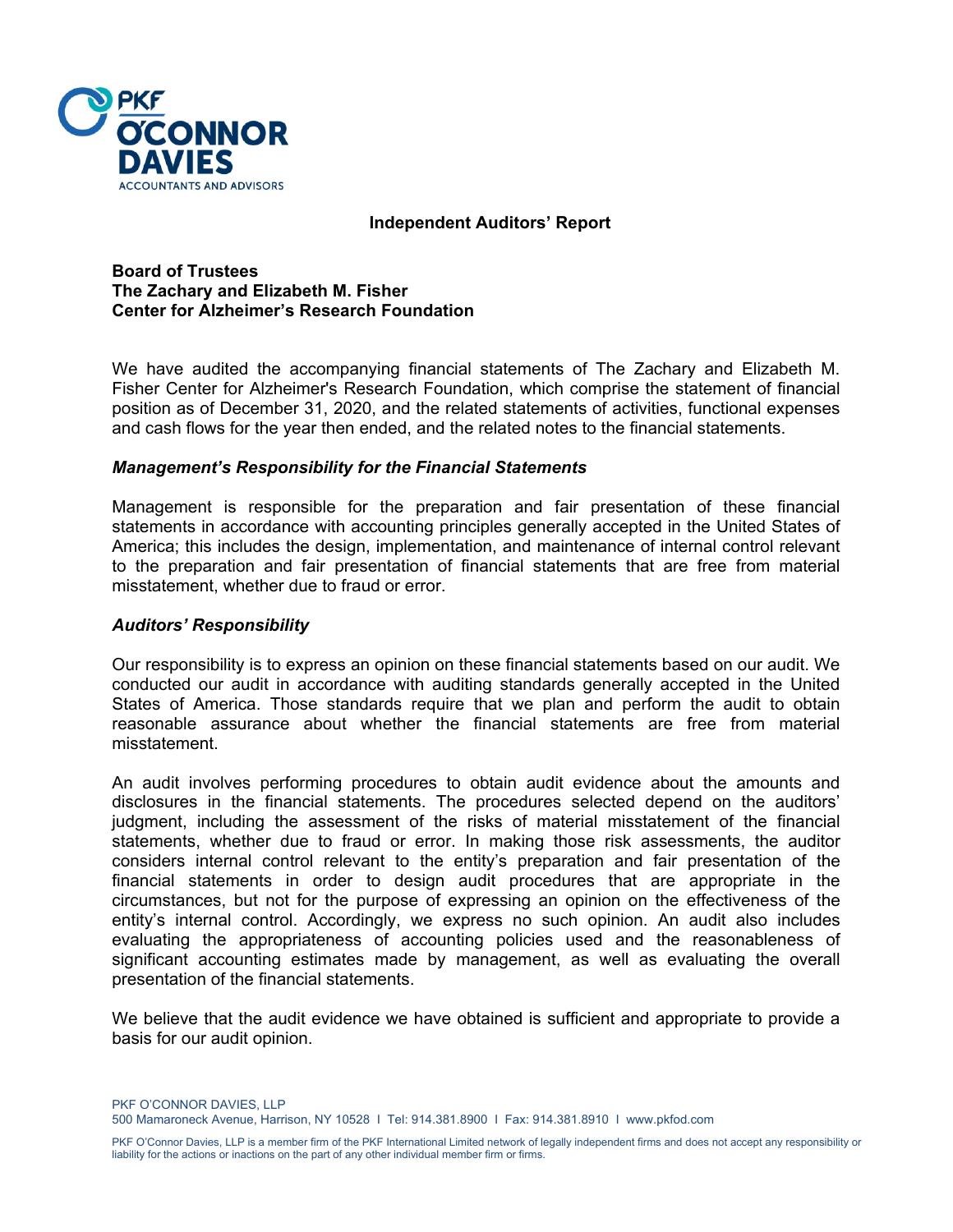

### **Independent Auditors' Report**

**Board of Trustees The Zachary and Elizabeth M. Fisher Center for Alzheimer's Research Foundation** 

We have audited the accompanying financial statements of The Zachary and Elizabeth M. Fisher Center for Alzheimer's Research Foundation, which comprise the statement of financial position as of December 31, 2020, and the related statements of activities, functional expenses and cash flows for the year then ended, and the related notes to the financial statements.

#### *Management's Responsibility for the Financial Statements*

Management is responsible for the preparation and fair presentation of these financial statements in accordance with accounting principles generally accepted in the United States of America; this includes the design, implementation, and maintenance of internal control relevant to the preparation and fair presentation of financial statements that are free from material misstatement, whether due to fraud or error.

#### *Auditors' Responsibility*

Our responsibility is to express an opinion on these financial statements based on our audit. We conducted our audit in accordance with auditing standards generally accepted in the United States of America. Those standards require that we plan and perform the audit to obtain reasonable assurance about whether the financial statements are free from material misstatement.

An audit involves performing procedures to obtain audit evidence about the amounts and disclosures in the financial statements. The procedures selected depend on the auditors' judgment, including the assessment of the risks of material misstatement of the financial statements, whether due to fraud or error. In making those risk assessments, the auditor considers internal control relevant to the entity's preparation and fair presentation of the financial statements in order to design audit procedures that are appropriate in the circumstances, but not for the purpose of expressing an opinion on the effectiveness of the entity's internal control. Accordingly, we express no such opinion. An audit also includes evaluating the appropriateness of accounting policies used and the reasonableness of significant accounting estimates made by management, as well as evaluating the overall presentation of the financial statements.

We believe that the audit evidence we have obtained is sufficient and appropriate to provide a basis for our audit opinion.

PKF O'CONNOR DAVIES, LLP 500 Mamaroneck Avenue, Harrison, NY 10528 I Tel: 914.381.8900 I Fax: 914.381.8910 I www.pkfod.com

PKF O'Connor Davies, LLP is a member firm of the PKF International Limited network of legally independent firms and does not accept any responsibility or liability for the actions or inactions on the part of any other individual member firm or firms.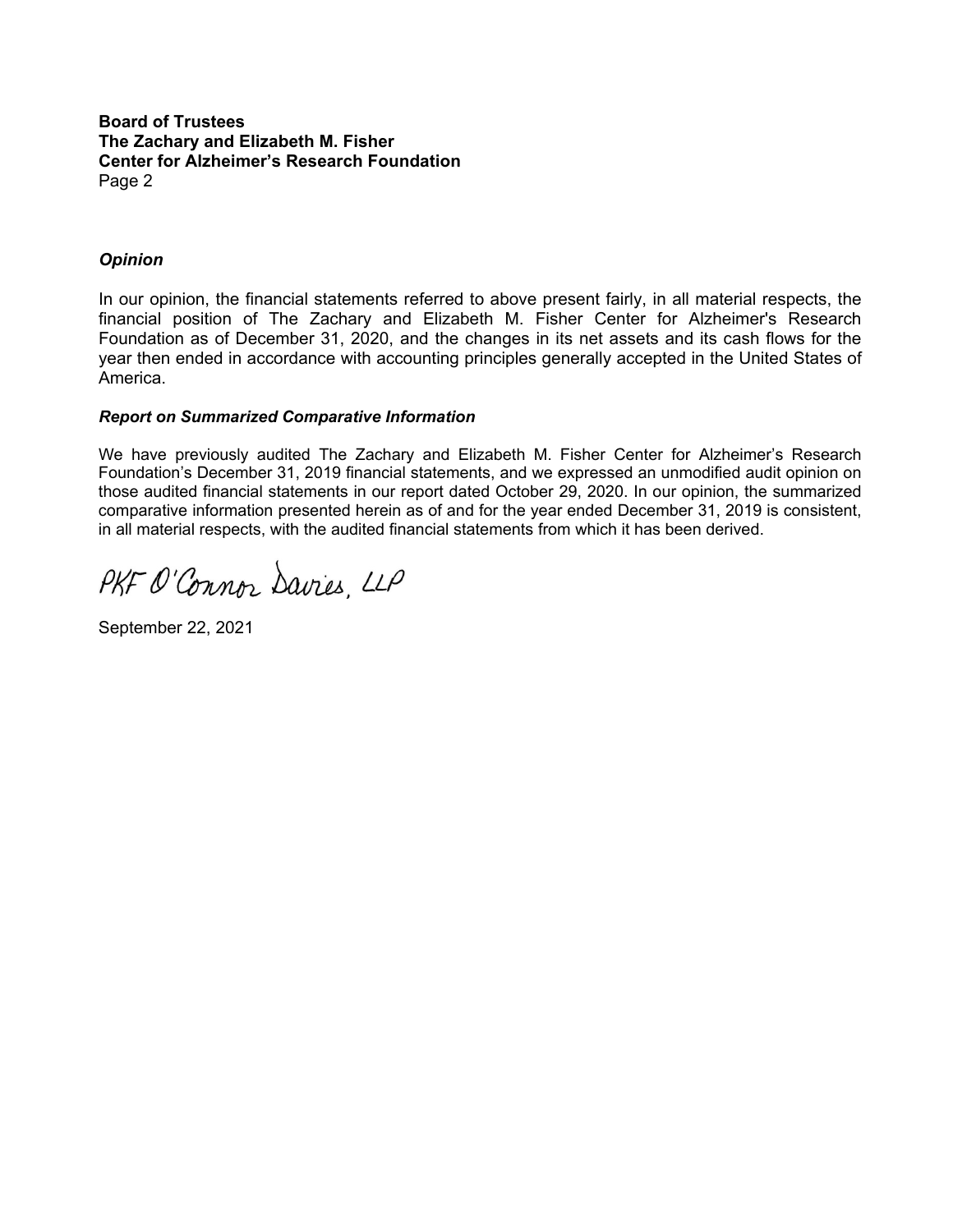#### **Board of Trustees The Zachary and Elizabeth M. Fisher Center for Alzheimer's Research Foundation**  Page 2

## *Opinion*

In our opinion, the financial statements referred to above present fairly, in all material respects, the financial position of The Zachary and Elizabeth M. Fisher Center for Alzheimer's Research Foundation as of December 31, 2020, and the changes in its net assets and its cash flows for the year then ended in accordance with accounting principles generally accepted in the United States of America.

## *Report on Summarized Comparative Information*

We have previously audited The Zachary and Elizabeth M. Fisher Center for Alzheimer's Research Foundation's December 31, 2019 financial statements, and we expressed an unmodified audit opinion on those audited financial statements in our report dated October 29, 2020. In our opinion, the summarized comparative information presented herein as of and for the year ended December 31, 2019 is consistent, in all material respects, with the audited financial statements from which it has been derived.

PKF O'Connor Davies, LLP

September 22, 2021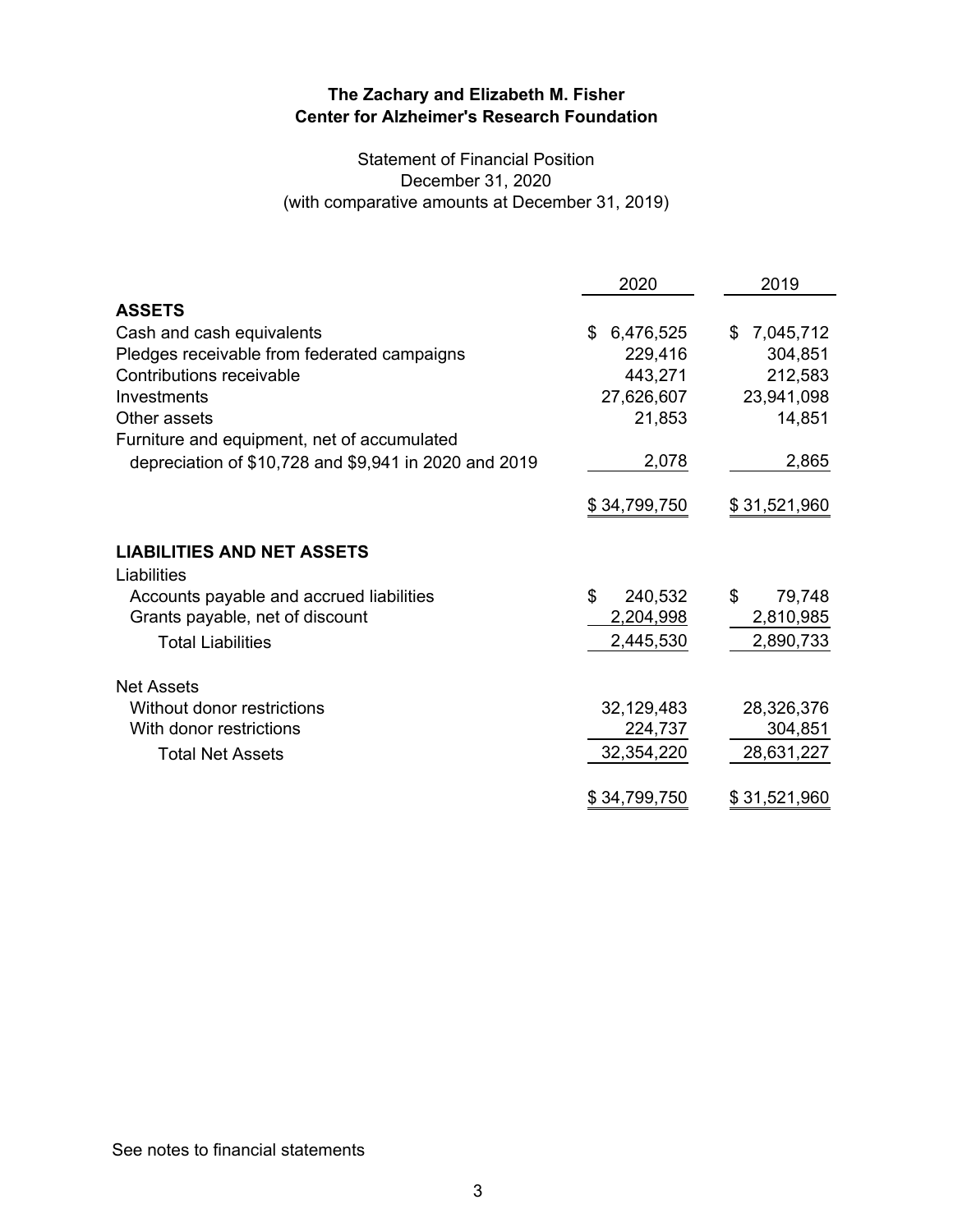## Statement of Financial Position December 31, 2020 (with comparative amounts at December 31, 2019)

|                                                       | 2020          | 2019            |
|-------------------------------------------------------|---------------|-----------------|
| <b>ASSETS</b>                                         |               |                 |
| Cash and cash equivalents                             | \$6,476,525   | 7,045,712<br>\$ |
| Pledges receivable from federated campaigns           | 229,416       | 304,851         |
| Contributions receivable                              | 443,271       | 212,583         |
| Investments                                           | 27,626,607    | 23,941,098      |
| Other assets                                          | 21,853        | 14,851          |
| Furniture and equipment, net of accumulated           |               |                 |
| depreciation of \$10,728 and \$9,941 in 2020 and 2019 | 2,078         | 2,865           |
|                                                       | \$34,799,750  | \$31,521,960    |
| <b>LIABILITIES AND NET ASSETS</b>                     |               |                 |
| Liabilities                                           |               |                 |
| Accounts payable and accrued liabilities              | \$<br>240,532 | \$<br>79,748    |
| Grants payable, net of discount                       | 2,204,998     | 2,810,985       |
| <b>Total Liabilities</b>                              | 2,445,530     | 2,890,733       |
| <b>Net Assets</b>                                     |               |                 |
| Without donor restrictions                            | 32,129,483    | 28,326,376      |
| With donor restrictions                               | 224,737       | 304,851         |
| <b>Total Net Assets</b>                               | 32,354,220    | 28,631,227      |
|                                                       | \$34,799,750  | \$31,521,960    |

See notes to financial statements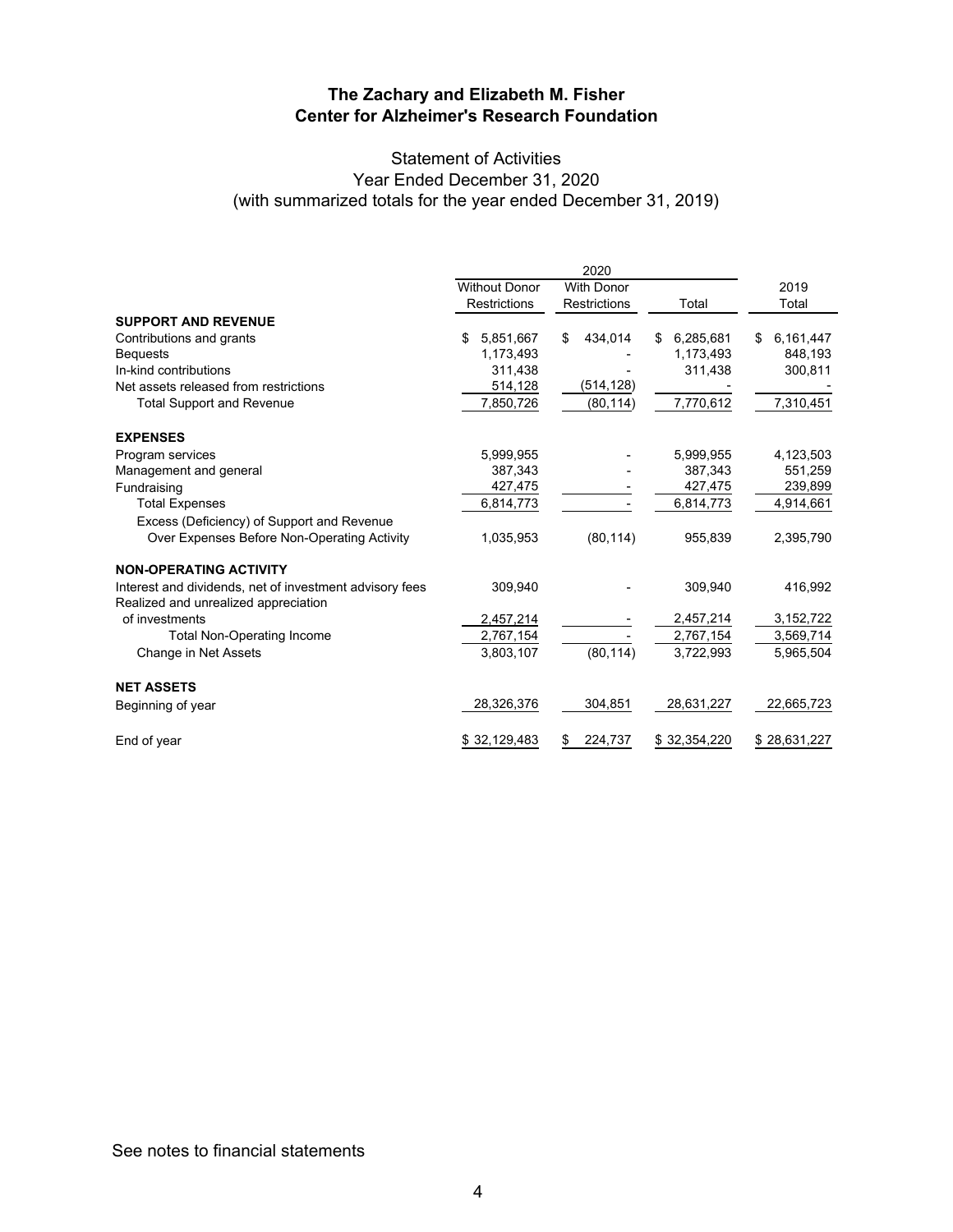## Statement of Activities Year Ended December 31, 2020 (with summarized totals for the year ended December 31, 2019)

|                                                                                                 |                      | 2020                |                 |                |
|-------------------------------------------------------------------------------------------------|----------------------|---------------------|-----------------|----------------|
|                                                                                                 | <b>Without Donor</b> | <b>With Donor</b>   |                 | 2019           |
|                                                                                                 | <b>Restrictions</b>  | <b>Restrictions</b> | Total           | Total          |
| <b>SUPPORT AND REVENUE</b>                                                                      |                      |                     |                 |                |
| Contributions and grants                                                                        | 5,851,667<br>\$      | 434.014<br>\$       | 6,285,681<br>S. | 6,161,447<br>S |
| <b>Bequests</b>                                                                                 | 1,173,493            |                     | 1,173,493       | 848,193        |
| In-kind contributions                                                                           | 311,438              |                     | 311,438         | 300,811        |
| Net assets released from restrictions                                                           | 514,128              | (514,128)           |                 |                |
| <b>Total Support and Revenue</b>                                                                | 7,850,726            | (80, 114)           | 7,770,612       | 7,310,451      |
| <b>EXPENSES</b>                                                                                 |                      |                     |                 |                |
| Program services                                                                                | 5,999,955            |                     | 5,999,955       | 4,123,503      |
| Management and general                                                                          | 387,343              |                     | 387,343         | 551,259        |
| Fundraising                                                                                     | 427,475              |                     | 427,475         | 239,899        |
| <b>Total Expenses</b>                                                                           | 6,814,773            |                     | 6,814,773       | 4,914,661      |
| Excess (Deficiency) of Support and Revenue                                                      |                      |                     |                 |                |
| Over Expenses Before Non-Operating Activity                                                     | 1,035,953            | (80, 114)           | 955,839         | 2,395,790      |
| <b>NON-OPERATING ACTIVITY</b>                                                                   |                      |                     |                 |                |
| Interest and dividends, net of investment advisory fees<br>Realized and unrealized appreciation | 309,940              |                     | 309,940         | 416,992        |
| of investments                                                                                  | 2,457,214            |                     | 2,457,214       | 3,152,722      |
| <b>Total Non-Operating Income</b>                                                               | 2,767,154            |                     | 2,767,154       | 3,569,714      |
| Change in Net Assets                                                                            | 3,803,107            | (80, 114)           | 3,722,993       | 5,965,504      |
| <b>NET ASSETS</b>                                                                               |                      |                     |                 |                |
| Beginning of year                                                                               | 28,326,376           | 304,851             | 28,631,227      | 22,665,723     |
| End of year                                                                                     | \$32,129,483         | 224,737             | \$32,354,220    | \$28,631,227   |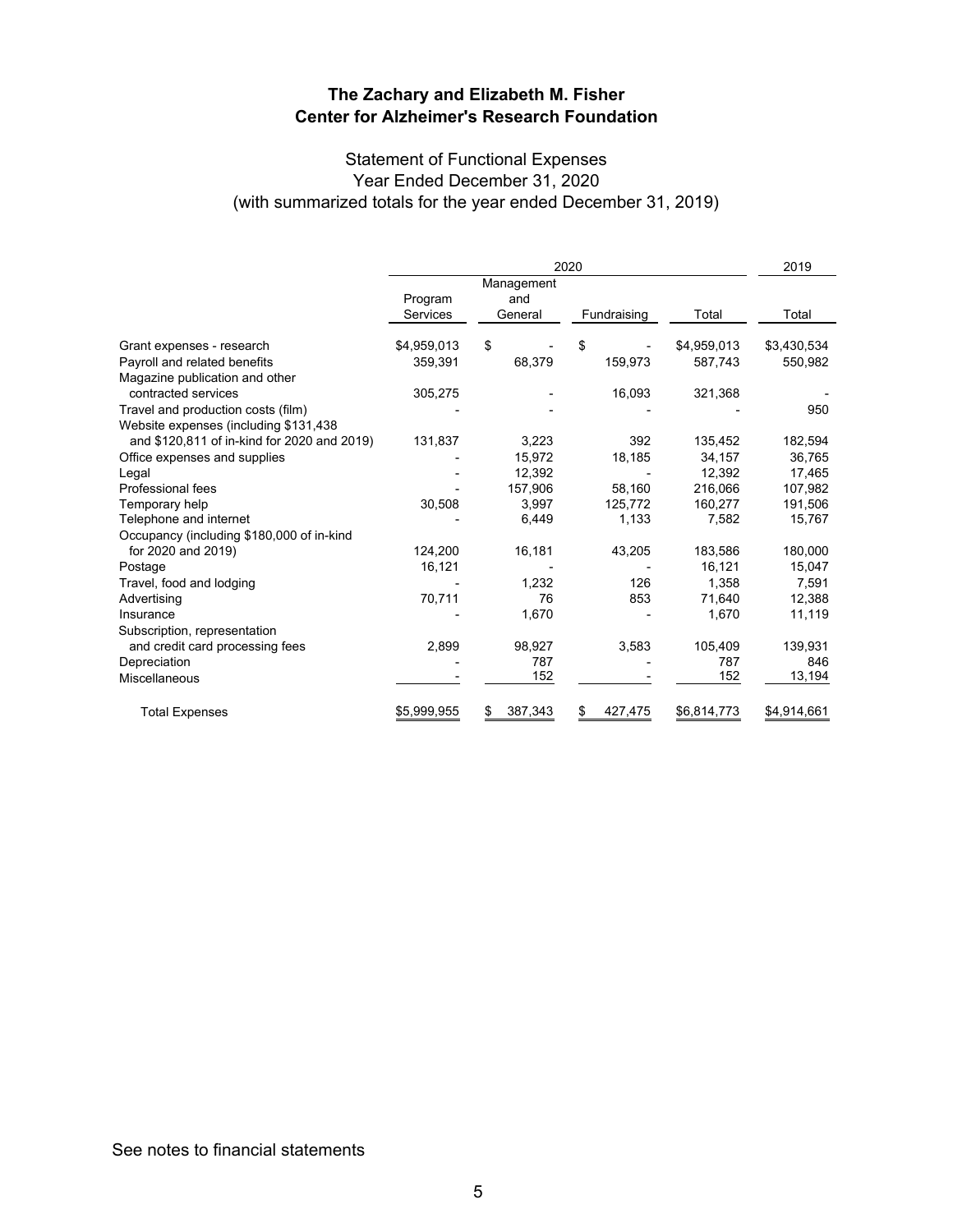## Statement of Functional Expenses Year Ended December 31, 2020 (with summarized totals for the year ended December 31, 2019)

|                                             | 2020        |               |               |             | 2019        |
|---------------------------------------------|-------------|---------------|---------------|-------------|-------------|
|                                             |             | Management    |               |             |             |
|                                             | Program     | and           |               |             |             |
|                                             | Services    | General       | Fundraising   | Total       | Total       |
| Grant expenses - research                   | \$4,959,013 | \$            | \$            | \$4,959,013 | \$3,430,534 |
| Payroll and related benefits                | 359,391     | 68,379        | 159,973       | 587,743     | 550,982     |
| Magazine publication and other              |             |               |               |             |             |
| contracted services                         | 305,275     |               | 16,093        | 321,368     |             |
| Travel and production costs (film)          |             |               |               |             | 950         |
| Website expenses (including \$131,438       |             |               |               |             |             |
| and \$120,811 of in-kind for 2020 and 2019) | 131,837     | 3,223         | 392           | 135,452     | 182,594     |
| Office expenses and supplies                |             | 15,972        | 18,185        | 34,157      | 36,765      |
| Legal                                       |             | 12,392        |               | 12,392      | 17,465      |
| Professional fees                           |             | 157,906       | 58,160        | 216,066     | 107,982     |
| Temporary help                              | 30,508      | 3,997         | 125,772       | 160,277     | 191,506     |
| Telephone and internet                      |             | 6,449         | 1,133         | 7,582       | 15,767      |
| Occupancy (including \$180,000 of in-kind   |             |               |               |             |             |
| for 2020 and 2019)                          | 124,200     | 16,181        | 43,205        | 183,586     | 180,000     |
| Postage                                     | 16,121      |               |               | 16,121      | 15,047      |
| Travel, food and lodging                    |             | 1,232         | 126           | 1,358       | 7,591       |
| Advertising                                 | 70,711      | 76            | 853           | 71,640      | 12,388      |
| Insurance                                   |             | 1,670         |               | 1,670       | 11,119      |
| Subscription, representation                |             |               |               |             |             |
| and credit card processing fees             | 2,899       | 98,927        | 3,583         | 105,409     | 139,931     |
| Depreciation                                |             | 787           |               | 787         | 846         |
| <b>Miscellaneous</b>                        |             | 152           |               | 152         | 13,194      |
| <b>Total Expenses</b>                       | \$5,999,955 | 387,343<br>\$ | \$<br>427,475 | \$6,814,773 | \$4,914,661 |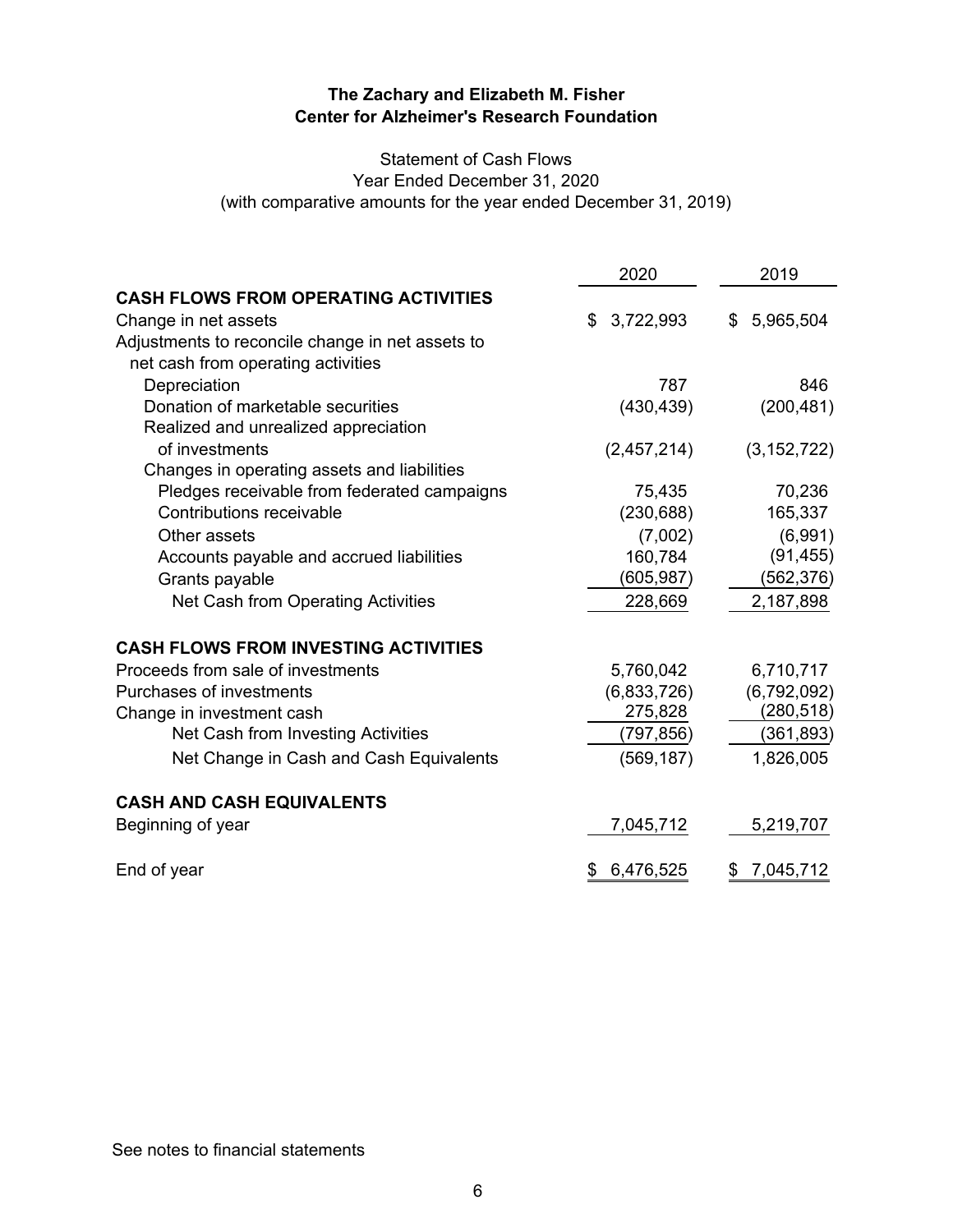## Statement of Cash Flows Year Ended December 31, 2020 (with comparative amounts for the year ended December 31, 2019)

|                                                  | 2020            | 2019            |
|--------------------------------------------------|-----------------|-----------------|
| <b>CASH FLOWS FROM OPERATING ACTIVITIES</b>      |                 |                 |
| Change in net assets                             | 3,722,993<br>\$ | 5,965,504<br>\$ |
| Adjustments to reconcile change in net assets to |                 |                 |
| net cash from operating activities               |                 |                 |
| Depreciation                                     | 787             | 846             |
| Donation of marketable securities                | (430, 439)      | (200, 481)      |
| Realized and unrealized appreciation             |                 |                 |
| of investments                                   | (2,457,214)     | (3, 152, 722)   |
| Changes in operating assets and liabilities      |                 |                 |
| Pledges receivable from federated campaigns      | 75,435          | 70,236          |
| Contributions receivable                         | (230, 688)      | 165,337         |
| Other assets                                     | (7,002)         | (6,991)         |
| Accounts payable and accrued liabilities         | 160,784         | (91, 455)       |
| Grants payable                                   | (605,987)       | (562, 376)      |
| Net Cash from Operating Activities               | 228,669         | 2,187,898       |
| <b>CASH FLOWS FROM INVESTING ACTIVITIES</b>      |                 |                 |
| Proceeds from sale of investments                | 5,760,042       | 6,710,717       |
| Purchases of investments                         | (6,833,726)     | (6, 792, 092)   |
| Change in investment cash                        | 275,828         | (280, 518)      |
| Net Cash from Investing Activities               | (797, 856)      | (361,893)       |
| Net Change in Cash and Cash Equivalents          | (569, 187)      | 1,826,005       |
| <b>CASH AND CASH EQUIVALENTS</b>                 |                 |                 |
| Beginning of year                                | 7,045,712       | 5,219,707       |
| End of year                                      | 6,476,525       | 7,045,712       |

See notes to financial statements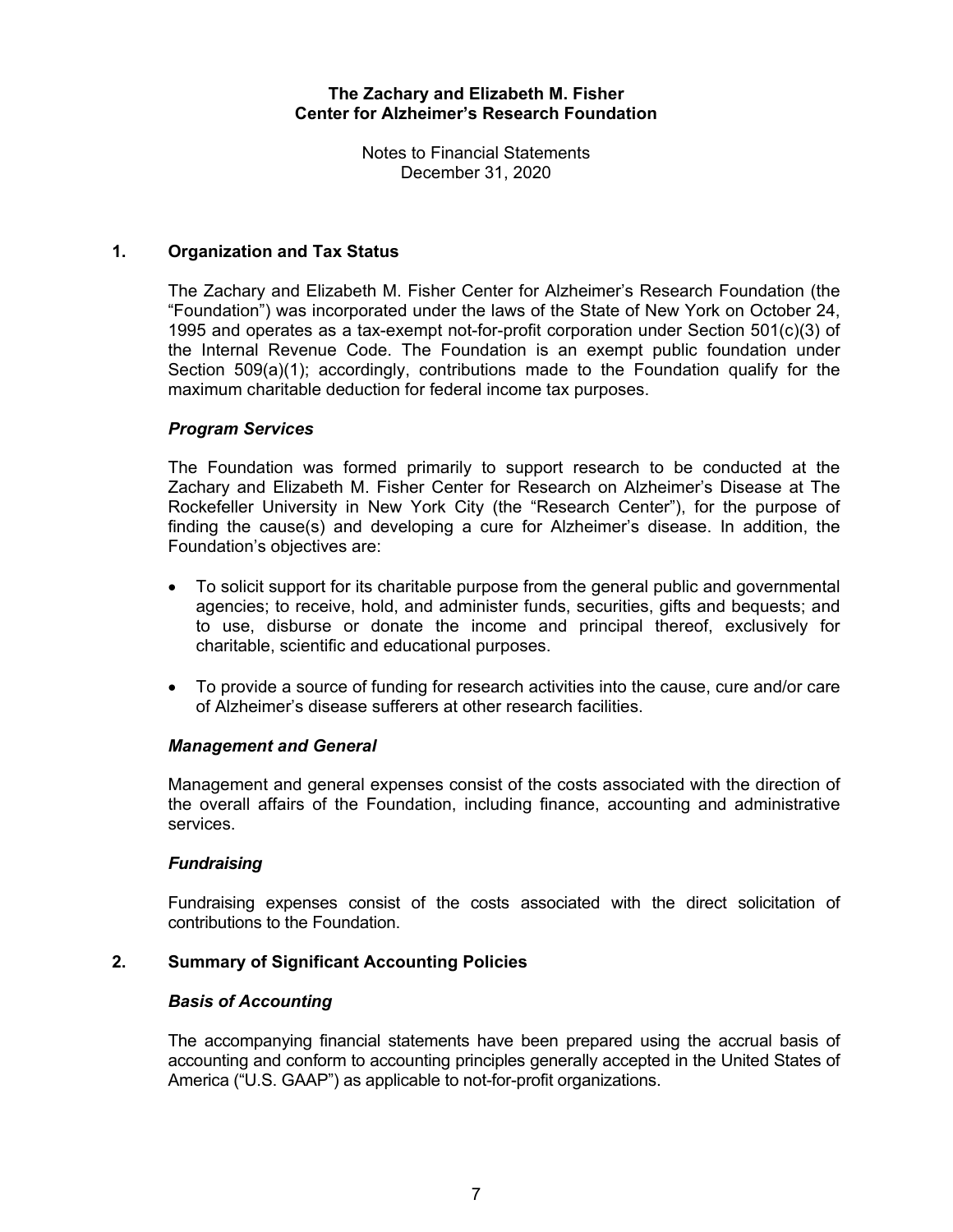Notes to Financial Statements December 31, 2020

### **1. Organization and Tax Status**

The Zachary and Elizabeth M. Fisher Center for Alzheimer's Research Foundation (the "Foundation") was incorporated under the laws of the State of New York on October 24, 1995 and operates as a tax-exempt not-for-profit corporation under Section 501(c)(3) of the Internal Revenue Code. The Foundation is an exempt public foundation under Section  $509(a)(1)$ ; accordingly, contributions made to the Foundation qualify for the maximum charitable deduction for federal income tax purposes.

## *Program Services*

The Foundation was formed primarily to support research to be conducted at the Zachary and Elizabeth M. Fisher Center for Research on Alzheimer's Disease at The Rockefeller University in New York City (the "Research Center"), for the purpose of finding the cause(s) and developing a cure for Alzheimer's disease. In addition, the Foundation's objectives are:

- To solicit support for its charitable purpose from the general public and governmental agencies; to receive, hold, and administer funds, securities, gifts and bequests; and to use, disburse or donate the income and principal thereof, exclusively for charitable, scientific and educational purposes.
- To provide a source of funding for research activities into the cause, cure and/or care of Alzheimer's disease sufferers at other research facilities.

#### *Management and General*

Management and general expenses consist of the costs associated with the direction of the overall affairs of the Foundation, including finance, accounting and administrative services.

#### *Fundraising*

Fundraising expenses consist of the costs associated with the direct solicitation of contributions to the Foundation.

#### **2. Summary of Significant Accounting Policies**

#### *Basis of Accounting*

The accompanying financial statements have been prepared using the accrual basis of accounting and conform to accounting principles generally accepted in the United States of America ("U.S. GAAP") as applicable to not-for-profit organizations.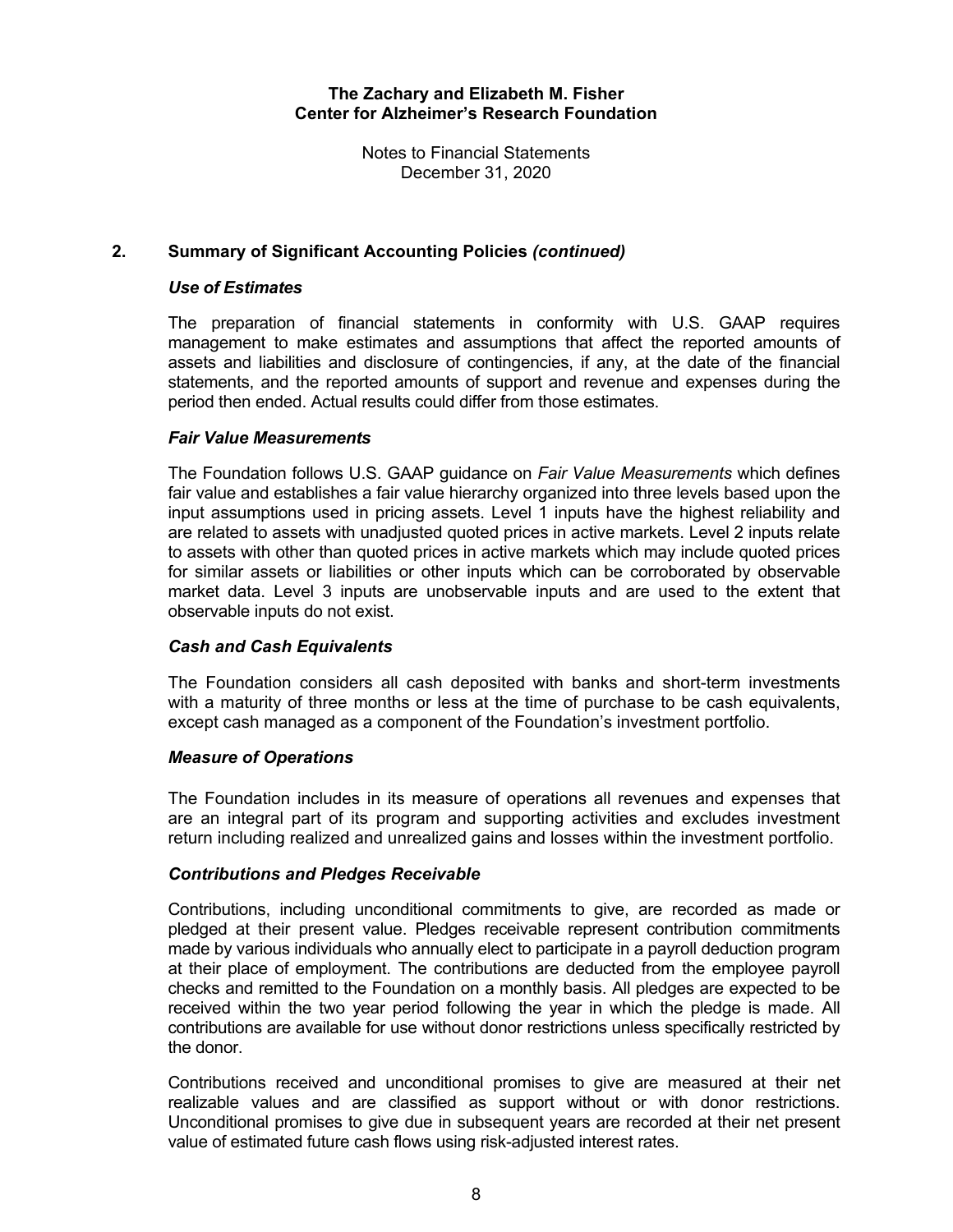Notes to Financial Statements December 31, 2020

## **2. Summary of Significant Accounting Policies** *(continued)*

#### *Use of Estimates*

The preparation of financial statements in conformity with U.S. GAAP requires management to make estimates and assumptions that affect the reported amounts of assets and liabilities and disclosure of contingencies, if any, at the date of the financial statements, and the reported amounts of support and revenue and expenses during the period then ended. Actual results could differ from those estimates.

#### *Fair Value Measurements*

The Foundation follows U.S. GAAP guidance on *Fair Value Measurements* which defines fair value and establishes a fair value hierarchy organized into three levels based upon the input assumptions used in pricing assets. Level 1 inputs have the highest reliability and are related to assets with unadjusted quoted prices in active markets. Level 2 inputs relate to assets with other than quoted prices in active markets which may include quoted prices for similar assets or liabilities or other inputs which can be corroborated by observable market data. Level 3 inputs are unobservable inputs and are used to the extent that observable inputs do not exist.

#### *Cash and Cash Equivalents*

The Foundation considers all cash deposited with banks and short-term investments with a maturity of three months or less at the time of purchase to be cash equivalents, except cash managed as a component of the Foundation's investment portfolio.

#### *Measure of Operations*

The Foundation includes in its measure of operations all revenues and expenses that are an integral part of its program and supporting activities and excludes investment return including realized and unrealized gains and losses within the investment portfolio.

#### *Contributions and Pledges Receivable*

Contributions, including unconditional commitments to give, are recorded as made or pledged at their present value. Pledges receivable represent contribution commitments made by various individuals who annually elect to participate in a payroll deduction program at their place of employment. The contributions are deducted from the employee payroll checks and remitted to the Foundation on a monthly basis. All pledges are expected to be received within the two year period following the year in which the pledge is made. All contributions are available for use without donor restrictions unless specifically restricted by the donor.

Contributions received and unconditional promises to give are measured at their net realizable values and are classified as support without or with donor restrictions. Unconditional promises to give due in subsequent years are recorded at their net present value of estimated future cash flows using risk-adjusted interest rates.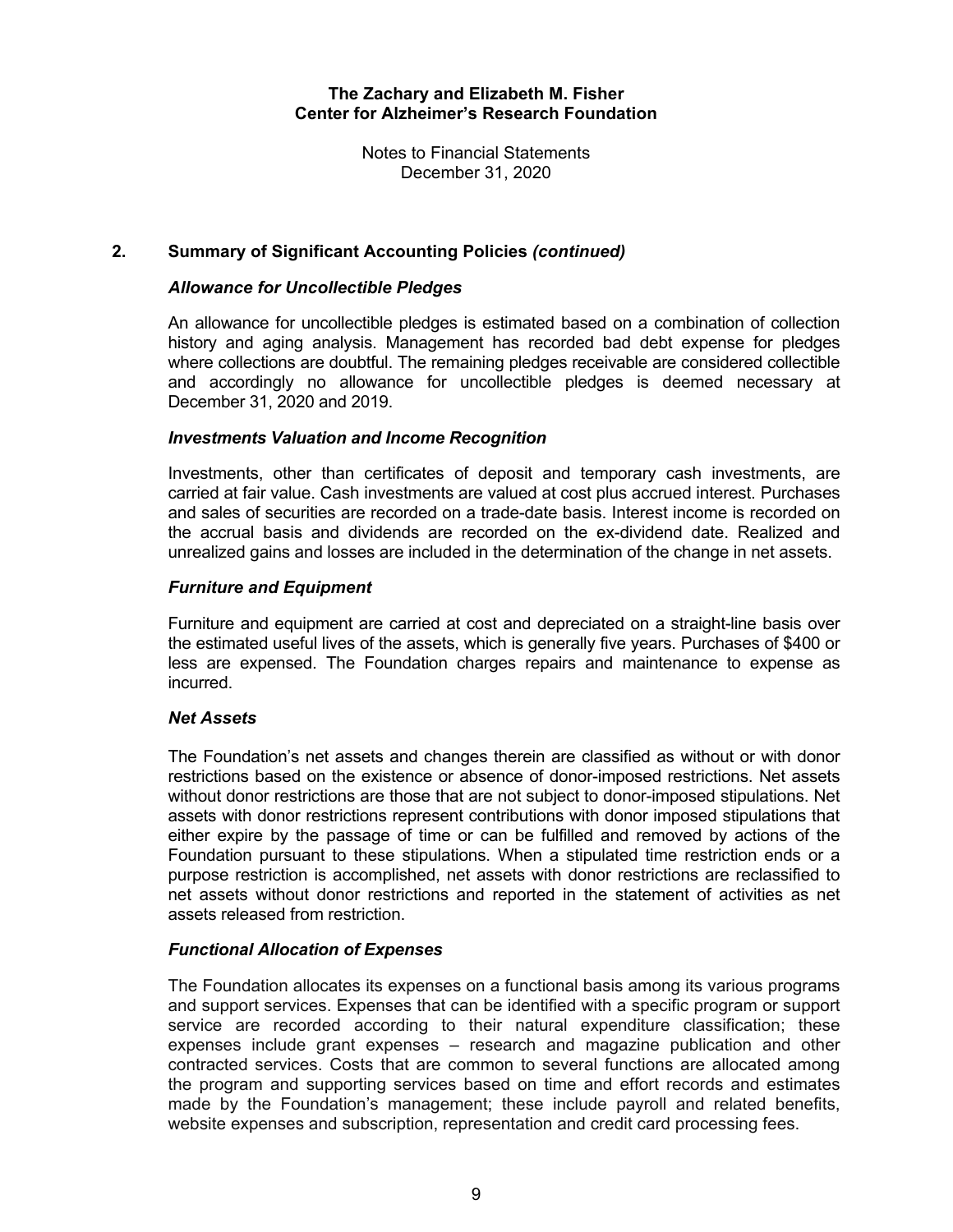Notes to Financial Statements December 31, 2020

## **2. Summary of Significant Accounting Policies** *(continued)*

#### *Allowance for Uncollectible Pledges*

An allowance for uncollectible pledges is estimated based on a combination of collection history and aging analysis. Management has recorded bad debt expense for pledges where collections are doubtful. The remaining pledges receivable are considered collectible and accordingly no allowance for uncollectible pledges is deemed necessary at December 31, 2020 and 2019.

#### *Investments Valuation and Income Recognition*

Investments, other than certificates of deposit and temporary cash investments, are carried at fair value. Cash investments are valued at cost plus accrued interest. Purchases and sales of securities are recorded on a trade-date basis. Interest income is recorded on the accrual basis and dividends are recorded on the ex-dividend date. Realized and unrealized gains and losses are included in the determination of the change in net assets.

#### *Furniture and Equipment*

Furniture and equipment are carried at cost and depreciated on a straight-line basis over the estimated useful lives of the assets, which is generally five years. Purchases of \$400 or less are expensed. The Foundation charges repairs and maintenance to expense as incurred.

#### *Net Assets*

The Foundation's net assets and changes therein are classified as without or with donor restrictions based on the existence or absence of donor-imposed restrictions. Net assets without donor restrictions are those that are not subject to donor-imposed stipulations. Net assets with donor restrictions represent contributions with donor imposed stipulations that either expire by the passage of time or can be fulfilled and removed by actions of the Foundation pursuant to these stipulations. When a stipulated time restriction ends or a purpose restriction is accomplished, net assets with donor restrictions are reclassified to net assets without donor restrictions and reported in the statement of activities as net assets released from restriction.

#### *Functional Allocation of Expenses*

The Foundation allocates its expenses on a functional basis among its various programs and support services. Expenses that can be identified with a specific program or support service are recorded according to their natural expenditure classification; these expenses include grant expenses – research and magazine publication and other contracted services. Costs that are common to several functions are allocated among the program and supporting services based on time and effort records and estimates made by the Foundation's management; these include payroll and related benefits, website expenses and subscription, representation and credit card processing fees.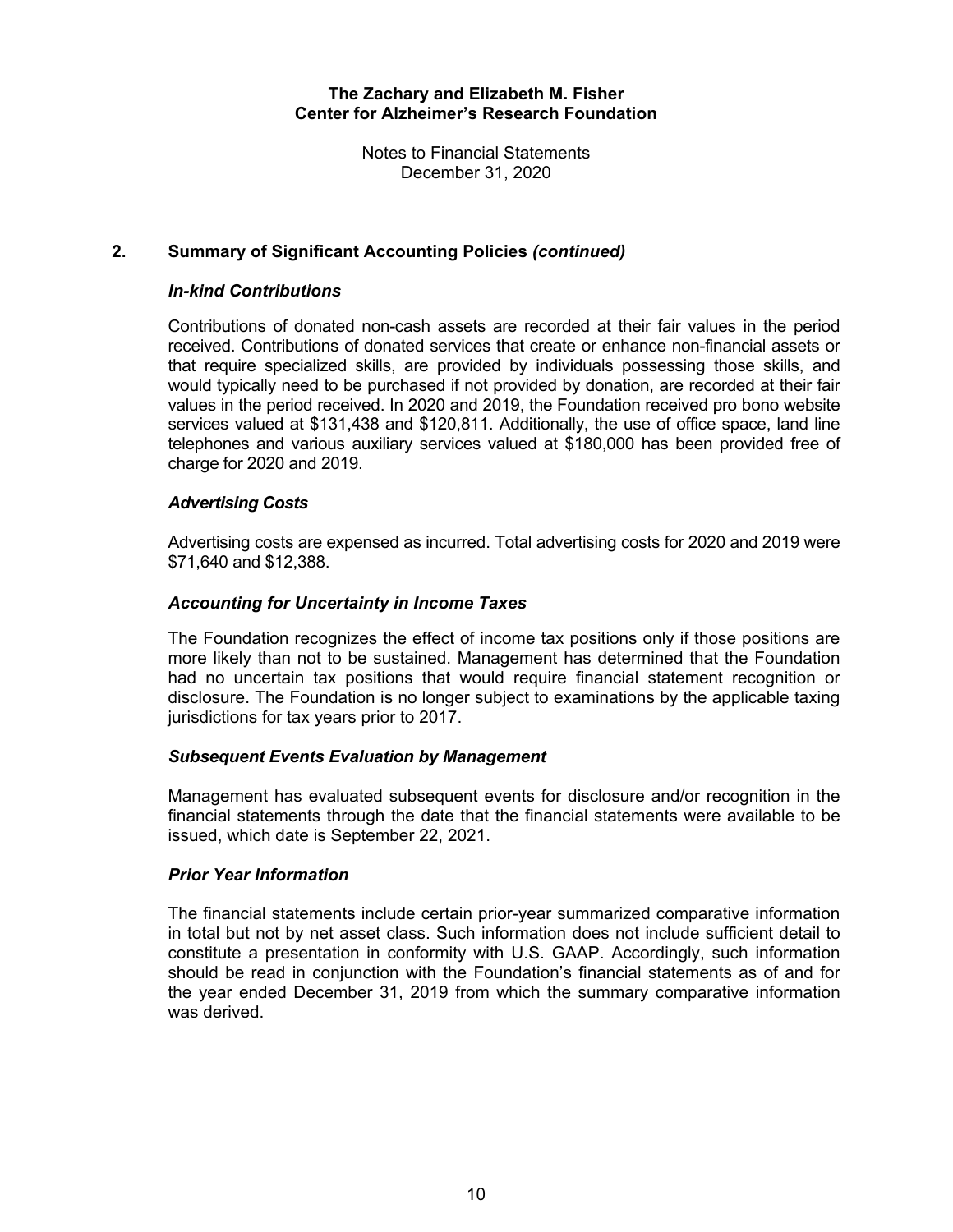Notes to Financial Statements December 31, 2020

## **2. Summary of Significant Accounting Policies** *(continued)*

#### *In-kind Contributions*

Contributions of donated non-cash assets are recorded at their fair values in the period received. Contributions of donated services that create or enhance non-financial assets or that require specialized skills, are provided by individuals possessing those skills, and would typically need to be purchased if not provided by donation, are recorded at their fair values in the period received. In 2020 and 2019, the Foundation received pro bono website services valued at \$131,438 and \$120,811. Additionally, the use of office space, land line telephones and various auxiliary services valued at \$180,000 has been provided free of charge for 2020 and 2019.

## *Advertising Costs*

Advertising costs are expensed as incurred. Total advertising costs for 2020 and 2019 were \$71,640 and \$12,388.

## *Accounting for Uncertainty in Income Taxes*

The Foundation recognizes the effect of income tax positions only if those positions are more likely than not to be sustained. Management has determined that the Foundation had no uncertain tax positions that would require financial statement recognition or disclosure. The Foundation is no longer subject to examinations by the applicable taxing jurisdictions for tax years prior to 2017.

#### *Subsequent Events Evaluation by Management*

Management has evaluated subsequent events for disclosure and/or recognition in the financial statements through the date that the financial statements were available to be issued, which date is September 22, 2021.

#### *Prior Year Information*

The financial statements include certain prior-year summarized comparative information in total but not by net asset class. Such information does not include sufficient detail to constitute a presentation in conformity with U.S. GAAP. Accordingly, such information should be read in conjunction with the Foundation's financial statements as of and for the year ended December 31, 2019 from which the summary comparative information was derived.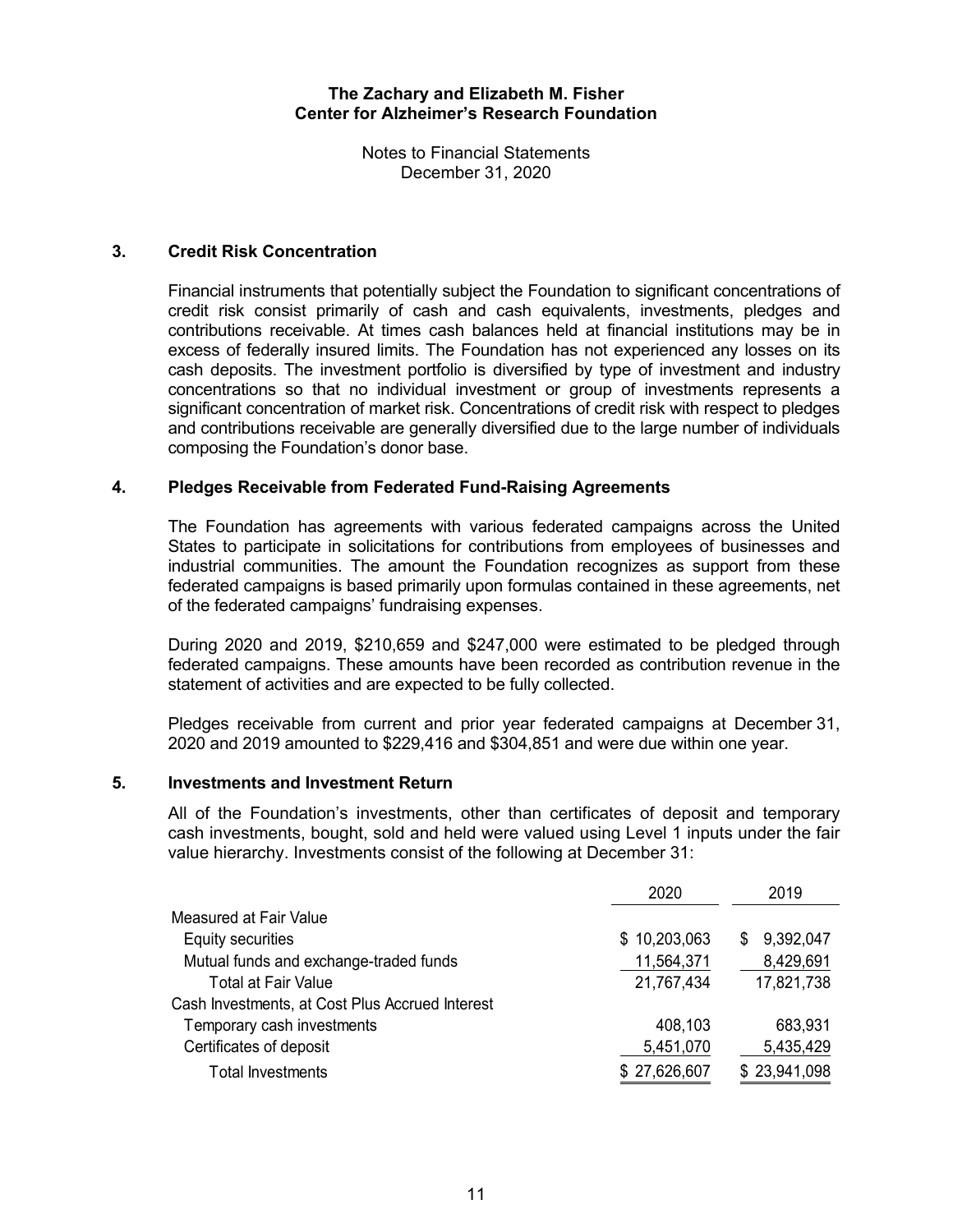Notes to Financial Statements December 31, 2020

#### **3. Credit Risk Concentration**

Financial instruments that potentially subject the Foundation to significant concentrations of credit risk consist primarily of cash and cash equivalents, investments, pledges and contributions receivable. At times cash balances held at financial institutions may be in excess of federally insured limits. The Foundation has not experienced any losses on its cash deposits. The investment portfolio is diversified by type of investment and industry concentrations so that no individual investment or group of investments represents a significant concentration of market risk. Concentrations of credit risk with respect to pledges and contributions receivable are generally diversified due to the large number of individuals composing the Foundation's donor base.

## **4. Pledges Receivable from Federated Fund-Raising Agreements**

The Foundation has agreements with various federated campaigns across the United States to participate in solicitations for contributions from employees of businesses and industrial communities. The amount the Foundation recognizes as support from these federated campaigns is based primarily upon formulas contained in these agreements, net of the federated campaigns' fundraising expenses.

During 2020 and 2019, \$210,659 and \$247,000 were estimated to be pledged through federated campaigns. These amounts have been recorded as contribution revenue in the statement of activities and are expected to be fully collected.

Pledges receivable from current and prior year federated campaigns at December 31, 2020 and 2019 amounted to \$229,416 and \$304,851 and were due within one year.

#### **5. Investments and Investment Return**

All of the Foundation's investments, other than certificates of deposit and temporary cash investments, bought, sold and held were valued using Level 1 inputs under the fair value hierarchy. Investments consist of the following at December 31:

|                                                 | 2020         | 2019            |
|-------------------------------------------------|--------------|-----------------|
| Measured at Fair Value                          |              |                 |
| Equity securities                               | \$10,203,063 | 9,392,047<br>S. |
| Mutual funds and exchange-traded funds          | 11,564,371   | 8,429,691       |
| <b>Total at Fair Value</b>                      | 21,767,434   | 17,821,738      |
| Cash Investments, at Cost Plus Accrued Interest |              |                 |
| Temporary cash investments                      | 408,103      | 683,931         |
| Certificates of deposit                         | 5,451,070    | 5,435,429       |
| <b>Total Investments</b>                        | \$27,626,607 | \$23,941,098    |
|                                                 |              |                 |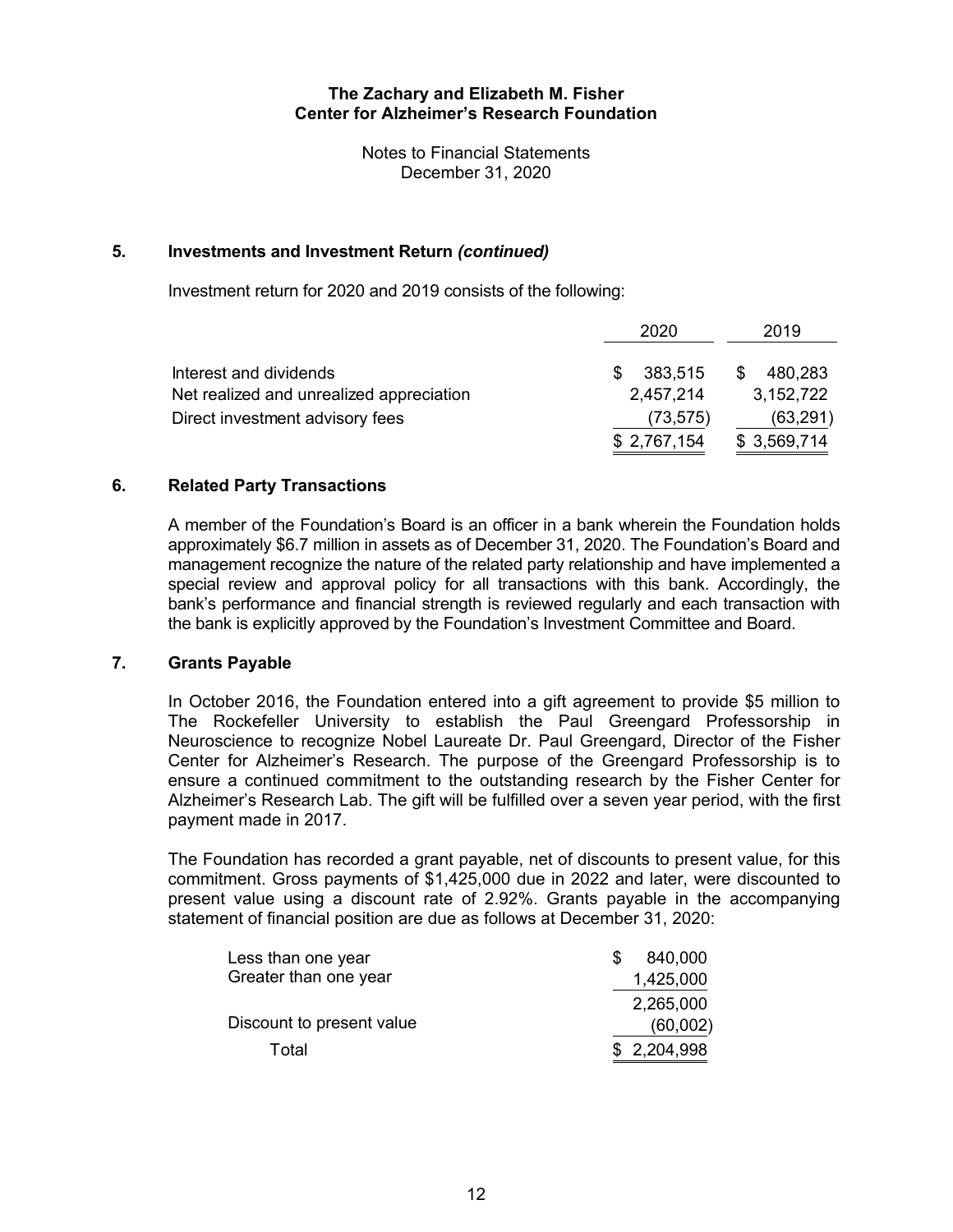Notes to Financial Statements December 31, 2020

## **5. Investments and Investment Return** *(continued)*

Investment return for 2020 and 2019 consists of the following:

|                                          | 2020           | 2019          |
|------------------------------------------|----------------|---------------|
|                                          |                |               |
| Interest and dividends                   | 383,515<br>\$. | 480,283<br>S. |
| Net realized and unrealized appreciation | 2,457,214      | 3,152,722     |
| Direct investment advisory fees          | (73, 575)      | (63, 291)     |
|                                          | \$2,767,154    | \$3,569,714   |

## **6. Related Party Transactions**

A member of the Foundation's Board is an officer in a bank wherein the Foundation holds approximately \$6.7 million in assets as of December 31, 2020. The Foundation's Board and management recognize the nature of the related party relationship and have implemented a special review and approval policy for all transactions with this bank. Accordingly, the bank's performance and financial strength is reviewed regularly and each transaction with the bank is explicitly approved by the Foundation's Investment Committee and Board.

#### **7. Grants Payable**

In October 2016, the Foundation entered into a gift agreement to provide \$5 million to The Rockefeller University to establish the Paul Greengard Professorship in Neuroscience to recognize Nobel Laureate Dr. Paul Greengard, Director of the Fisher Center for Alzheimer's Research. The purpose of the Greengard Professorship is to ensure a continued commitment to the outstanding research by the Fisher Center for Alzheimer's Research Lab. The gift will be fulfilled over a seven year period, with the first payment made in 2017.

The Foundation has recorded a grant payable, net of discounts to present value, for this commitment. Gross payments of \$1,425,000 due in 2022 and later, were discounted to present value using a discount rate of 2.92%. Grants payable in the accompanying statement of financial position are due as follows at December 31, 2020:

| Less than one year        | 840,000     |
|---------------------------|-------------|
| Greater than one year     | 1,425,000   |
|                           | 2,265,000   |
| Discount to present value | (60,002)    |
| Total                     | \$2,204,998 |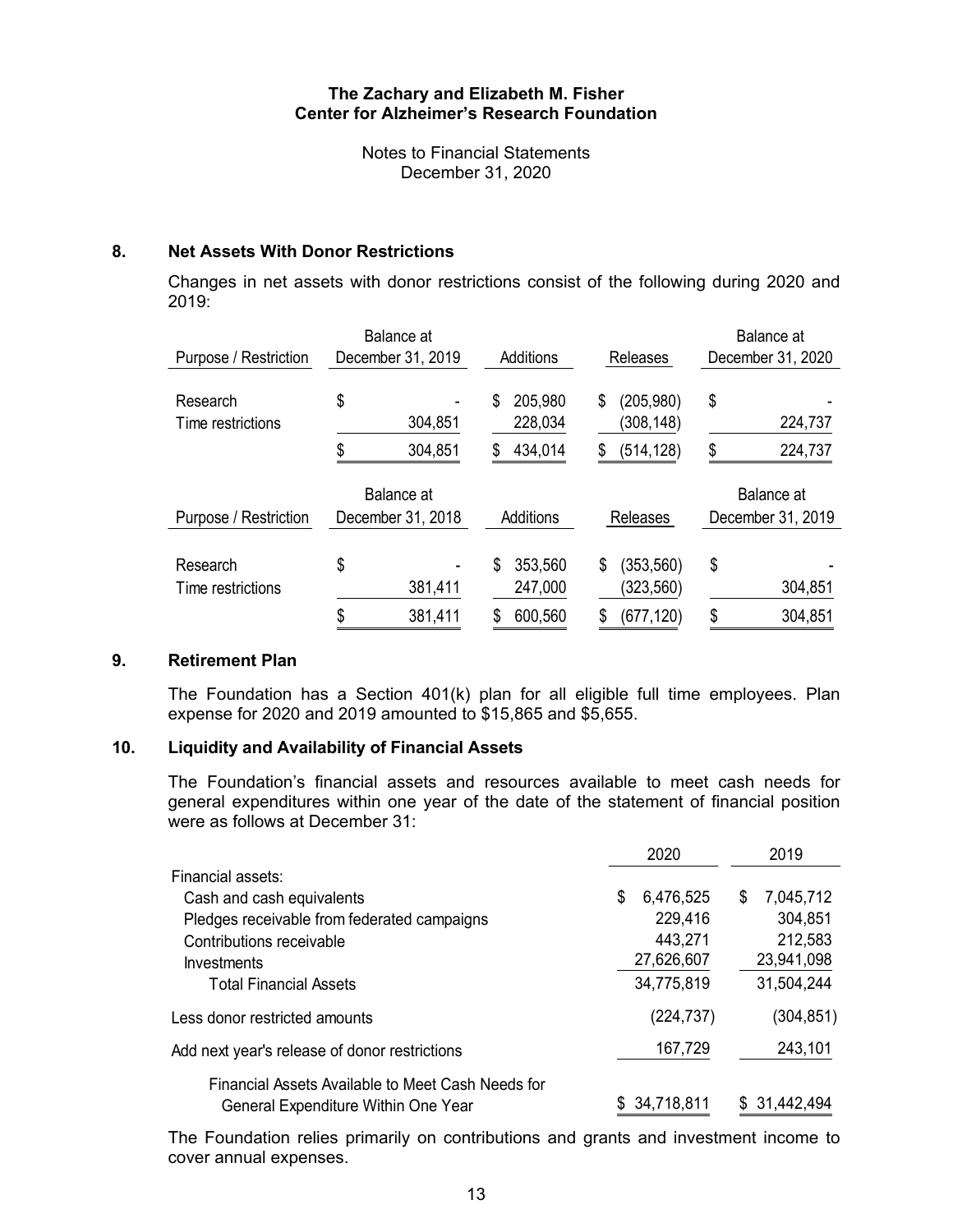Notes to Financial Statements December 31, 2020

### **8. Net Assets With Donor Restrictions**

Changes in net assets with donor restrictions consist of the following during 2020 and 2019:

|                               | Balance at |                                 |                                          |                                             |          | Balance at                      |
|-------------------------------|------------|---------------------------------|------------------------------------------|---------------------------------------------|----------|---------------------------------|
| Purpose / Restriction         |            | December 31, 2019               | Additions                                | <b>Releases</b>                             |          | December 31, 2020               |
| Research<br>Time restrictions | \$<br>\$   | 304,851<br>304,851              | \$<br>205,980<br>228,034<br>434,014<br>S | (205, 980)<br>\$<br>(308, 148)<br>(514,128) | \$<br>\$ | 224,737<br>224,737              |
|                               |            |                                 |                                          |                                             |          |                                 |
| Purpose / Restriction         |            | Balance at<br>December 31, 2018 | Additions                                | <b>Releases</b>                             |          | Balance at<br>December 31, 2019 |
| Research<br>Time restrictions | \$         | 381,411                         | \$<br>353,560<br>247,000                 | \$<br>(353, 560)<br>(323, 560)              | \$       | 304,851                         |

### **9. Retirement Plan**

The Foundation has a Section 401(k) plan for all eligible full time employees. Plan expense for 2020 and 2019 amounted to \$15,865 and \$5,655.

## **10. Liquidity and Availability of Financial Assets**

The Foundation's financial assets and resources available to meet cash needs for general expenditures within one year of the date of the statement of financial position were as follows at December 31:

|                                                   | 2020             | 2019             |
|---------------------------------------------------|------------------|------------------|
| Financial assets:                                 |                  |                  |
| Cash and cash equivalents                         | 6,476,525<br>\$. | 7,045,712<br>\$. |
| Pledges receivable from federated campaigns       | 229,416          | 304,851          |
| Contributions receivable                          | 443,271          | 212,583          |
| Investments                                       | 27,626,607       | 23,941,098       |
| <b>Total Financial Assets</b>                     | 34,775,819       | 31,504,244       |
| Less donor restricted amounts                     | (224, 737)       | (304,851)        |
| Add next year's release of donor restrictions     | 167,729          | 243,101          |
| Financial Assets Available to Meet Cash Needs for |                  |                  |
| General Expenditure Within One Year               | 34,718,811       | \$31,442,494     |

The Foundation relies primarily on contributions and grants and investment income to cover annual expenses.